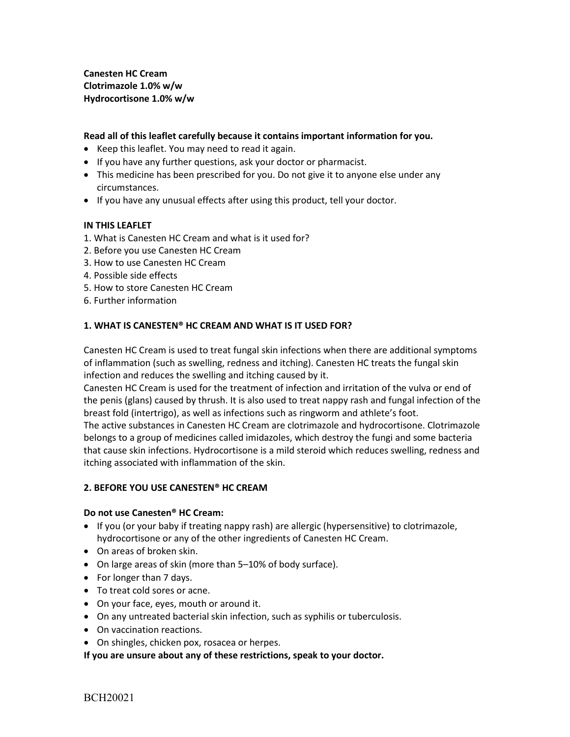**Canesten HC Cream Clotrimazole 1.0% w/w Hydrocortisone 1.0% w/w**

## **Read all of this leaflet carefully because it contains important information for you.**

- Keep this leaflet. You may need to read it again.
- If you have any further questions, ask your doctor or pharmacist.
- This medicine has been prescribed for you. Do not give it to anyone else under any circumstances.
- If you have any unusual effects after using this product, tell your doctor.

### **IN THIS LEAFLET**

- 1. What is Canesten HC Cream and what is it used for?
- 2. Before you use Canesten HC Cream
- 3. How to use Canesten HC Cream
- 4. Possible side effects
- 5. How to store Canesten HC Cream
- 6. Further information

#### **1. WHAT IS CANESTEN® HC CREAM AND WHAT IS IT USED FOR?**

Canesten HC Cream is used to treat fungal skin infections when there are additional symptoms of inflammation (such as swelling, redness and itching). Canesten HC treats the fungal skin infection and reduces the swelling and itching caused by it.

Canesten HC Cream is used for the treatment of infection and irritation of the vulva or end of the penis (glans) caused by thrush. It is also used to treat nappy rash and fungal infection of the breast fold (intertrigo), as well as infections such as ringworm and athlete's foot.

The active substances in Canesten HC Cream are clotrimazole and hydrocortisone. Clotrimazole belongs to a group of medicines called imidazoles, which destroy the fungi and some bacteria that cause skin infections. Hydrocortisone is a mild steroid which reduces swelling, redness and itching associated with inflammation of the skin.

## **2. BEFORE YOU USE CANESTEN® HC CREAM**

#### **Do not use Canesten® HC Cream:**

- If you (or your baby if treating nappy rash) are allergic (hypersensitive) to clotrimazole, hydrocortisone or any of the other ingredients of Canesten HC Cream.
- On areas of broken skin.
- On large areas of skin (more than 5–10% of body surface).
- For longer than 7 days.
- To treat cold sores or acne.
- On your face, eyes, mouth or around it.
- On any untreated bacterial skin infection, such as syphilis or tuberculosis.
- On vaccination reactions.
- On shingles, chicken pox, rosacea or herpes.

**If you are unsure about any of these restrictions, speak to your doctor.**

BCH20021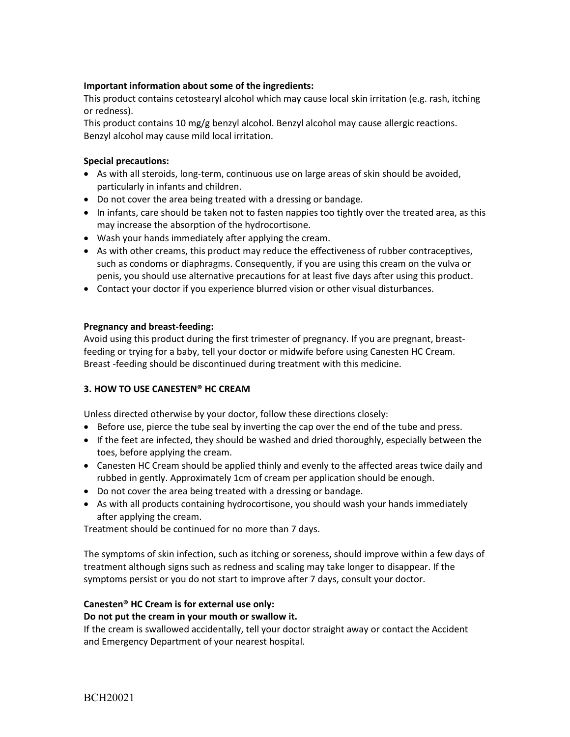## **Important information about some of the ingredients:**

This product contains cetostearyl alcohol which may cause local skin irritation (e.g. rash, itching or redness).

This product contains 10 mg/g benzyl alcohol. Benzyl alcohol may cause allergic reactions. Benzyl alcohol may cause mild local irritation.

## **Special precautions:**

- As with all steroids, long-term, continuous use on large areas of skin should be avoided, particularly in infants and children.
- Do not cover the area being treated with a dressing or bandage.
- In infants, care should be taken not to fasten nappies too tightly over the treated area, as this may increase the absorption of the hydrocortisone.
- Wash your hands immediately after applying the cream.
- As with other creams, this product may reduce the effectiveness of rubber contraceptives, such as condoms or diaphragms. Consequently, if you are using this cream on the vulva or penis, you should use alternative precautions for at least five days after using this product.
- Contact your doctor if you experience blurred vision or other visual disturbances.

## **Pregnancy and breast-feeding:**

Avoid using this product during the first trimester of pregnancy. If you are pregnant, breastfeeding or trying for a baby, tell your doctor or midwife before using Canesten HC Cream. Breast -feeding should be discontinued during treatment with this medicine.

## **3. HOW TO USE CANESTEN® HC CREAM**

Unless directed otherwise by your doctor, follow these directions closely:

- Before use, pierce the tube seal by inverting the cap over the end of the tube and press.
- If the feet are infected, they should be washed and dried thoroughly, especially between the toes, before applying the cream.
- Canesten HC Cream should be applied thinly and evenly to the affected areas twice daily and rubbed in gently. Approximately 1cm of cream per application should be enough.
- Do not cover the area being treated with a dressing or bandage.
- As with all products containing hydrocortisone, you should wash your hands immediately after applying the cream.

Treatment should be continued for no more than 7 days.

The symptoms of skin infection, such as itching or soreness, should improve within a few days of treatment although signs such as redness and scaling may take longer to disappear. If the symptoms persist or you do not start to improve after 7 days, consult your doctor.

# **Canesten® HC Cream is for external use only:**

## **Do not put the cream in your mouth or swallow it.**

If the cream is swallowed accidentally, tell your doctor straight away or contact the Accident and Emergency Department of your nearest hospital.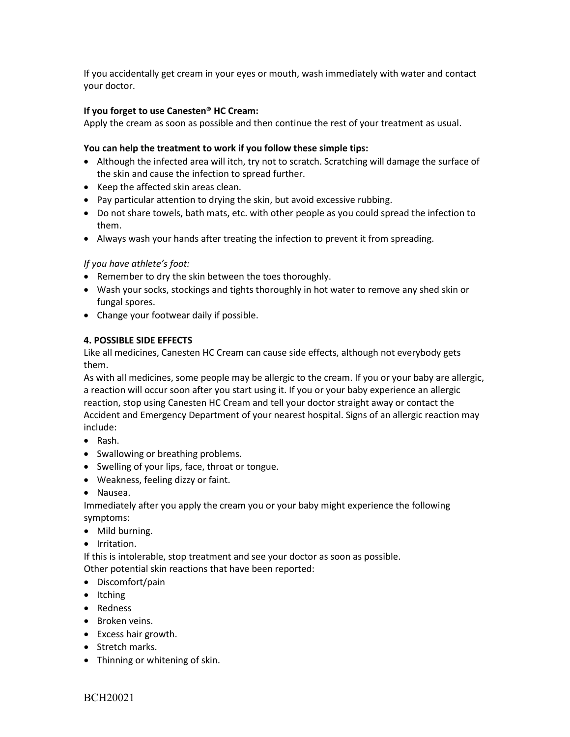If you accidentally get cream in your eyes or mouth, wash immediately with water and contact your doctor.

## **If you forget to use Canesten® HC Cream:**

Apply the cream as soon as possible and then continue the rest of your treatment as usual.

## **You can help the treatment to work if you follow these simple tips:**

- Although the infected area will itch, try not to scratch. Scratching will damage the surface of the skin and cause the infection to spread further.
- Keep the affected skin areas clean.
- Pay particular attention to drying the skin, but avoid excessive rubbing.
- Do not share towels, bath mats, etc. with other people as you could spread the infection to them.
- Always wash your hands after treating the infection to prevent it from spreading.

# *If you have athlete's foot:*

- Remember to dry the skin between the toes thoroughly.
- Wash your socks, stockings and tights thoroughly in hot water to remove any shed skin or fungal spores.
- Change your footwear daily if possible.

# **4. POSSIBLE SIDE EFFECTS**

Like all medicines, Canesten HC Cream can cause side effects, although not everybody gets them.

As with all medicines, some people may be allergic to the cream. If you or your baby are allergic, a reaction will occur soon after you start using it. If you or your baby experience an allergic reaction, stop using Canesten HC Cream and tell your doctor straight away or contact the Accident and Emergency Department of your nearest hospital. Signs of an allergic reaction may include:

- Rash.
- Swallowing or breathing problems.
- Swelling of your lips, face, throat or tongue.
- Weakness, feeling dizzy or faint.
- Nausea.

Immediately after you apply the cream you or your baby might experience the following symptoms:

- Mild burning.
- Irritation.

If this is intolerable, stop treatment and see your doctor as soon as possible. Other potential skin reactions that have been reported:

- Discomfort/pain
- Itching
- Redness
- Broken veins.
- Excess hair growth.
- Stretch marks.
- Thinning or whitening of skin.

BCH20021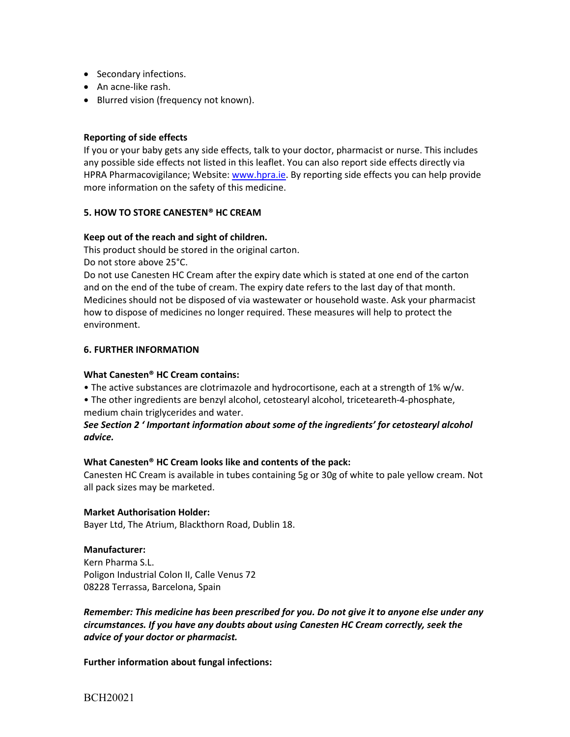- Secondary infections.
- An acne-like rash.
- Blurred vision (frequency not known).

### **Reporting of side effects**

If you or your baby gets any side effects, talk to your doctor, pharmacist or nurse. This includes any possible side effects not listed in this leaflet. You can also report side effects directly via HPRA Pharmacovigilance; Website: [www.hpra.ie.](http://www.hpra.ie/) By reporting side effects you can help provide more information on the safety of this medicine.

### **5. HOW TO STORE CANESTEN® HC CREAM**

### **Keep out of the reach and sight of children.**

This product should be stored in the original carton.

Do not store above 25°C.

Do not use Canesten HC Cream after the expiry date which is stated at one end of the carton and on the end of the tube of cream. The expiry date refers to the last day of that month. Medicines should not be disposed of via wastewater or household waste. Ask your pharmacist how to dispose of medicines no longer required. These measures will help to protect the environment.

### **6. FURTHER INFORMATION**

#### **What Canesten® HC Cream contains:**

• The active substances are clotrimazole and hydrocortisone, each at a strength of 1% w/w.

• The other ingredients are benzyl alcohol, cetostearyl alcohol, triceteareth-4-phosphate, medium chain triglycerides and water.

# *See Section 2 ' Important information about some of the ingredients' for cetostearyl alcohol advice.*

#### **What Canesten® HC Cream looks like and contents of the pack:**

Canesten HC Cream is available in tubes containing 5g or 30g of white to pale yellow cream. Not all pack sizes may be marketed.

## **Market Authorisation Holder:**

Bayer Ltd, The Atrium, Blackthorn Road, Dublin 18.

## **Manufacturer:**

Kern Pharma S.L. Poligon Industrial Colon II, Calle Venus 72 08228 Terrassa, Barcelona, Spain

*Remember: This medicine has been prescribed for you. Do not give it to anyone else under any circumstances. If you have any doubts about using Canesten HC Cream correctly, seek the advice of your doctor or pharmacist.*

**Further information about fungal infections:**

BCH20021